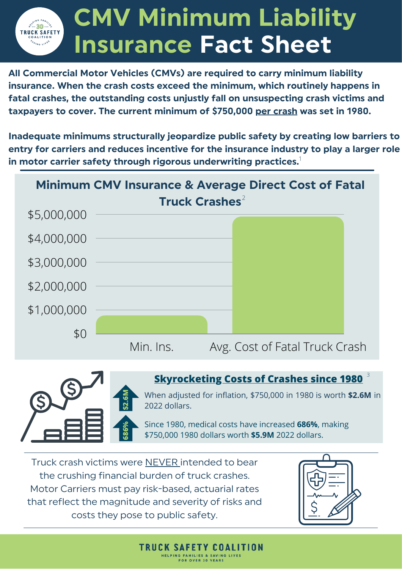## **CMV Minimum Liability**  $-30$ **TRUCK SAFETY Insurance Fact Sheet**

**All Commercial Motor Vehicles (CMVs) are required to carry minimum liability insurance. When the crash costs exceed the minimum, which routinely happens in fatal crashes, the outstanding costs unjustly fall on unsuspecting crash victims and taxpayers to cover. The current minimum of \$750,000 per crash was set in 1980.**

**Inadequate minimums structurally jeopardize public safety by creating low barriers to entry for carriers and reduces incentive for the insurance industry to play a larger role in motor carrier safety through rigorous underwriting practices.** 1



**TRUCK SAFETY COALITION** HELPING FAMILIES & SAVING FOR OVER 30 YEARS



## 3 **Skyrocketing Costs of Crashes since 1980**

When adjusted for inflation, \$750,000 in 1980 is worth **\$2.6M** in 2022 dollars.

Since 1980, medical costs have increased **686%**, making \$750,000 1980 dollars worth **\$5.9M** 2022 dollars.

Truck crash victims were NEVER intended to bear the crushing financial burden of truck crashes. Motor Carriers must pay risk-based, actuarial rates that reflect the magnitude and severity of risks and costs they pose to public safety.